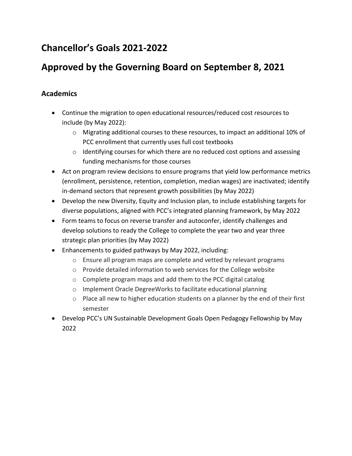# **Chancellor's Goals 2021-2022**

## **Approved by the Governing Board on September 8, 2021**

#### **Academics**

- Continue the migration to open educational resources/reduced cost resources to include (by May 2022):
	- o Migrating additional courses to these resources, to impact an additional 10% of PCC enrollment that currently uses full cost textbooks
	- o Identifying courses for which there are no reduced cost options and assessing funding mechanisms for those courses
- Act on program review decisions to ensure programs that yield low performance metrics (enrollment, persistence, retention, completion, median wages) are inactivated; identify in-demand sectors that represent growth possibilities (by May 2022)
- Develop the new Diversity, Equity and Inclusion plan, to include establishing targets for diverse populations, aligned with PCC's integrated planning framework, by May 2022
- Form teams to focus on reverse transfer and autoconfer, identify challenges and develop solutions to ready the College to complete the year two and year three strategic plan priorities (by May 2022)
- Enhancements to guided pathways by May 2022, including:
	- o Ensure all program maps are complete and vetted by relevant programs
	- o Provide detailed information to web services for the College website
	- o Complete program maps and add them to the PCC digital catalog
	- o Implement Oracle DegreeWorks to facilitate educational planning
	- o Place all new to higher education students on a planner by the end of their first semester
- Develop PCC's UN Sustainable Development Goals Open Pedagogy Fellowship by May 2022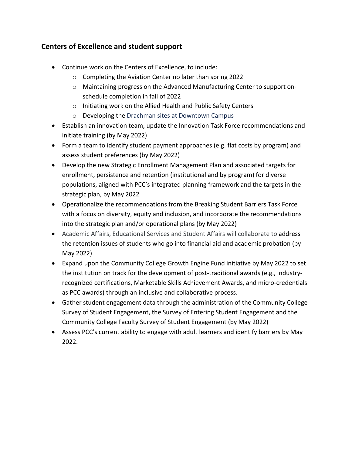#### **Centers of Excellence and student support**

- Continue work on the Centers of Excellence, to include:
	- o Completing the Aviation Center no later than spring 2022
	- o Maintaining progress on the Advanced Manufacturing Center to support onschedule completion in fall of 2022
	- o Initiating work on the Allied Health and Public Safety Centers
	- o Developing the Drachman sites at Downtown Campus
- Establish an innovation team, update the Innovation Task Force recommendations and initiate training (by May 2022)
- Form a team to identify student payment approaches (e.g. flat costs by program) and assess student preferences (by May 2022)
- Develop the new Strategic Enrollment Management Plan and associated targets for enrollment, persistence and retention (institutional and by program) for diverse populations, aligned with PCC's integrated planning framework and the targets in the strategic plan, by May 2022
- Operationalize the recommendations from the Breaking Student Barriers Task Force with a focus on diversity, equity and inclusion, and incorporate the recommendations into the strategic plan and/or operational plans (by May 2022)
- Academic Affairs, Educational Services and Student Affairs will collaborate to address the retention issues of students who go into financial aid and academic probation (by May 2022)
- Expand upon the Community College Growth Engine Fund initiative by May 2022 to set the institution on track for the development of post-traditional awards (e.g., industryrecognized certifications, Marketable Skills Achievement Awards, and micro-credentials as PCC awards) through an inclusive and collaborative process.
- Gather student engagement data through the administration of the Community College Survey of Student Engagement, the Survey of Entering Student Engagement and the Community College Faculty Survey of Student Engagement (by May 2022)
- Assess PCC's current ability to engage with adult learners and identify barriers by May 2022.